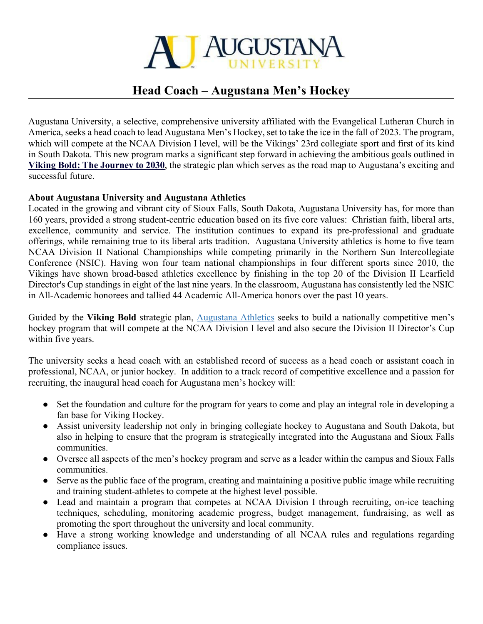

## **Head Coach – Augustana Men's Hockey**

Augustana University, a selective, comprehensive university affiliated with the Evangelical Lutheran Church in America, seeks a head coach to lead Augustana Men's Hockey, set to take the ice in the fall of 2023. The program, which will compete at the NCAA Division I level, will be the Vikings' 23rd collegiate sport and first of its kind in South Dakota. This new program marks a significant step forward in achieving the ambitious goals outlined in **[Viking Bold: The Journey to 2030](https://www.augie.edu/about/strategic-plan-viking-bold)**, the strategic plan which serves as the road map to Augustana's exciting and successful future.

## **About Augustana University and Augustana Athletics**

Located in the growing and vibrant city of Sioux Falls, South Dakota, Augustana University has, for more than 160 years, provided a strong student-centric education based on its five core values: Christian faith, liberal arts, excellence, community and service. The institution continues to expand its pre-professional and graduate offerings, while remaining true to its liberal arts tradition. Augustana University athletics is home to five team NCAA Division II National Championships while competing primarily in the Northern Sun Intercollegiate Conference (NSIC). Having won four team national championships in four different sports since 2010, the Vikings have shown broad-based athletics excellence by finishing in the top 20 of the Division II Learfield Director's Cup standings in eight of the last nine years. In the classroom, Augustana has consistently led the NSIC in All-Academic honorees and tallied 44 Academic All-America honors over the past 10 years.

Guided by the **Viking Bold** strategic plan, [Augustana Athletics](https://goaugie.com/) seeks to build a nationally competitive men's hockey program that will compete at the NCAA Division I level and also secure the Division II Director's Cup within five years.

The university seeks a head coach with an established record of success as a head coach or assistant coach in professional, NCAA, or junior hockey. In addition to a track record of competitive excellence and a passion for recruiting, the inaugural head coach for Augustana men's hockey will:

- Set the foundation and culture for the program for years to come and play an integral role in developing a fan base for Viking Hockey.
- Assist university leadership not only in bringing collegiate hockey to Augustana and South Dakota, but also in helping to ensure that the program is strategically integrated into the Augustana and Sioux Falls communities.
- Oversee all aspects of the men's hockey program and serve as a leader within the campus and Sioux Falls communities.
- Serve as the public face of the program, creating and maintaining a positive public image while recruiting and training student-athletes to compete at the highest level possible.
- Lead and maintain a program that competes at NCAA Division I through recruiting, on-ice teaching techniques, scheduling, monitoring academic progress, budget management, fundraising, as well as promoting the sport throughout the university and local community.
- Have a strong working knowledge and understanding of all NCAA rules and regulations regarding compliance issues.